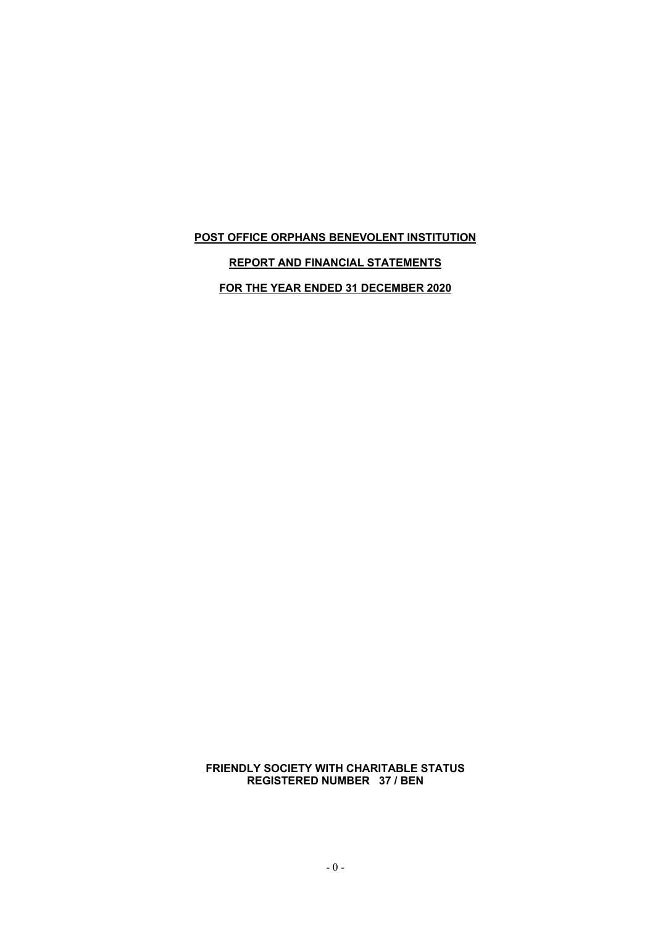# **REPORT AND FINANCIAL STATEMENTS**

**FOR THE YEAR ENDED 31 DECEMBER 2020**

**FRIENDLY SOCIETY WITH CHARITABLE STATUS REGISTERED NUMBER 37 / BEN**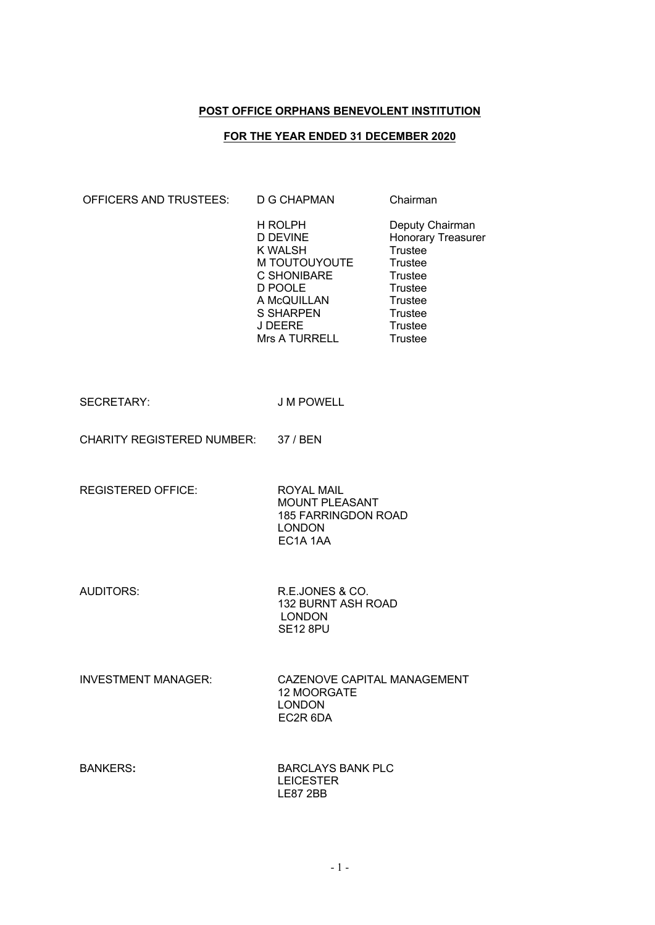# **FOR THE YEAR ENDED 31 DECEMBER 2020**

| OFFICERS AND TRUSTEES:              | <b>D G CHAPMAN</b>                                                                                                                                            | Chairman                                                                                                                                                                |  |
|-------------------------------------|---------------------------------------------------------------------------------------------------------------------------------------------------------------|-------------------------------------------------------------------------------------------------------------------------------------------------------------------------|--|
|                                     | H ROLPH<br><b>D DEVINE</b><br><b>K WALSH</b><br>M TOUTOUYOUTE<br>C SHONIBARE<br>D POOLE<br>A McQUILLAN<br><b>S SHARPEN</b><br><b>J DEERE</b><br>Mrs A TURRELL | Deputy Chairman<br>Honorary Treasurer<br>Trustee<br>Trustee<br><b>Trustee</b><br><b>Trustee</b><br><b>Trustee</b><br><b>Trustee</b><br><b>Trustee</b><br><b>Trustee</b> |  |
| <b>SECRETARY:</b>                   | <b>J M POWELL</b>                                                                                                                                             |                                                                                                                                                                         |  |
| CHARITY REGISTERED NUMBER: 37 / BEN |                                                                                                                                                               |                                                                                                                                                                         |  |
| <b>REGISTERED OFFICE:</b>           | <b>ROYAL MAIL</b><br><b>MOUNT PLEASANT</b><br><b>185 FARRINGDON ROAD</b><br><b>LONDON</b><br>EC1A 1AA                                                         |                                                                                                                                                                         |  |
| <b>AUDITORS:</b>                    | R.E.JONES & CO.<br>132 BURNT ASH ROAD<br><b>LONDON</b><br><b>SE12 8PU</b>                                                                                     |                                                                                                                                                                         |  |
| <b>INVESTMENT MANAGER:</b>          | CAZENOVE CAPITAL MANAGEMENT<br>12 MOORGATE<br><b>LONDON</b><br>EC2R 6DA                                                                                       |                                                                                                                                                                         |  |
| <b>BANKERS:</b>                     | <b>BARCLAYS BANK PLC</b><br><b>LEICESTER</b><br><b>LE87 2BB</b>                                                                                               |                                                                                                                                                                         |  |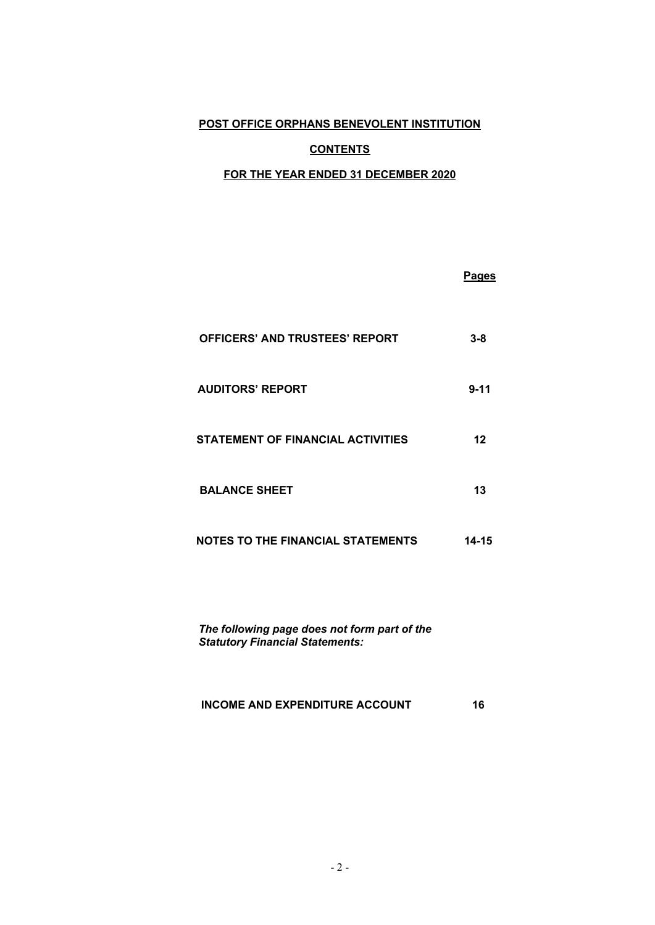# **CONTENTS**

# **FOR THE YEAR ENDED 31 DECEMBER 2020**

|                                          | <u>Pages</u> |
|------------------------------------------|--------------|
| <b>OFFICERS' AND TRUSTEES' REPORT</b>    | $3 - 8$      |
| <b>AUDITORS' REPORT</b>                  | $9 - 11$     |
| <b>STATEMENT OF FINANCIAL ACTIVITIES</b> | 12           |
| <b>BALANCE SHEET</b>                     | 13           |
| <b>NOTES TO THE FINANCIAL STATEMENTS</b> | 14-15        |

*The following page does not form part of the Statutory Financial Statements:*

# **INCOME AND EXPENDITURE ACCOUNT 16**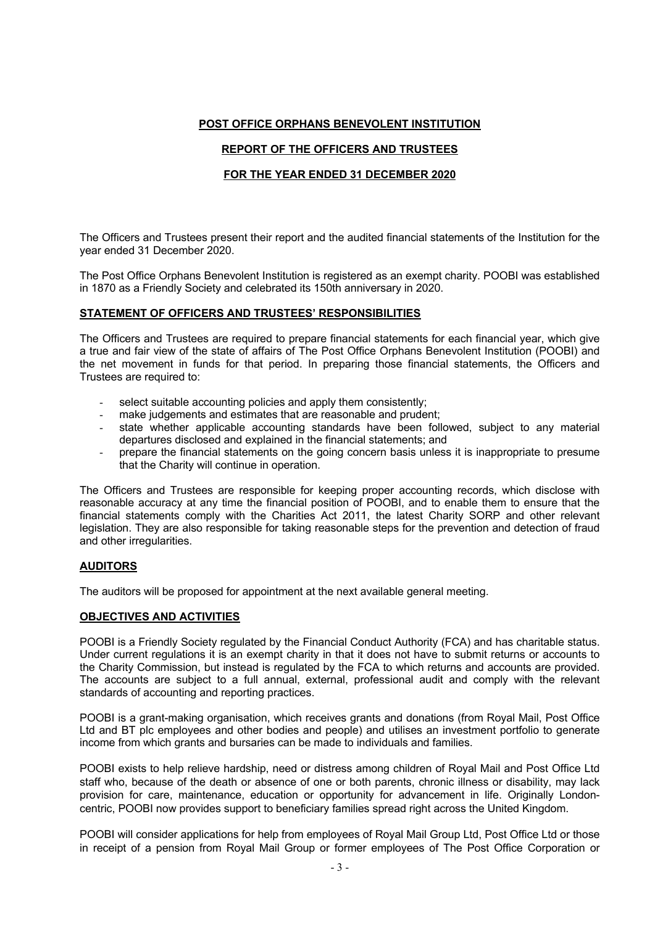# **REPORT OF THE OFFICERS AND TRUSTEES**

# **FOR THE YEAR ENDED 31 DECEMBER 2020**

The Officers and Trustees present their report and the audited financial statements of the Institution for the year ended 31 December 2020.

The Post Office Orphans Benevolent Institution is registered as an exempt charity. POOBI was established in 1870 as a Friendly Society and celebrated its 150th anniversary in 2020.

#### **STATEMENT OF OFFICERS AND TRUSTEES' RESPONSIBILITIES**

The Officers and Trustees are required to prepare financial statements for each financial year, which give a true and fair view of the state of affairs of The Post Office Orphans Benevolent Institution (POOBI) and the net movement in funds for that period. In preparing those financial statements, the Officers and Trustees are required to:

- select suitable accounting policies and apply them consistently;
- make judgements and estimates that are reasonable and prudent;
- state whether applicable accounting standards have been followed, subject to any material departures disclosed and explained in the financial statements; and
- prepare the financial statements on the going concern basis unless it is inappropriate to presume that the Charity will continue in operation.

The Officers and Trustees are responsible for keeping proper accounting records, which disclose with reasonable accuracy at any time the financial position of POOBI, and to enable them to ensure that the financial statements comply with the Charities Act 2011, the latest Charity SORP and other relevant legislation. They are also responsible for taking reasonable steps for the prevention and detection of fraud and other irregularities.

#### **AUDITORS**

The auditors will be proposed for appointment at the next available general meeting.

#### **OBJECTIVES AND ACTIVITIES**

POOBI is a Friendly Society regulated by the Financial Conduct Authority (FCA) and has charitable status. Under current regulations it is an exempt charity in that it does not have to submit returns or accounts to the Charity Commission, but instead is regulated by the FCA to which returns and accounts are provided. The accounts are subject to a full annual, external, professional audit and comply with the relevant standards of accounting and reporting practices.

POOBI is a grant-making organisation, which receives grants and donations (from Royal Mail, Post Office Ltd and BT plc employees and other bodies and people) and utilises an investment portfolio to generate income from which grants and bursaries can be made to individuals and families.

POOBI exists to help relieve hardship, need or distress among children of Royal Mail and Post Office Ltd staff who, because of the death or absence of one or both parents, chronic illness or disability, may lack provision for care, maintenance, education or opportunity for advancement in life. Originally Londoncentric, POOBI now provides support to beneficiary families spread right across the United Kingdom.

POOBI will consider applications for help from employees of Royal Mail Group Ltd, Post Office Ltd or those in receipt of a pension from Royal Mail Group or former employees of The Post Office Corporation or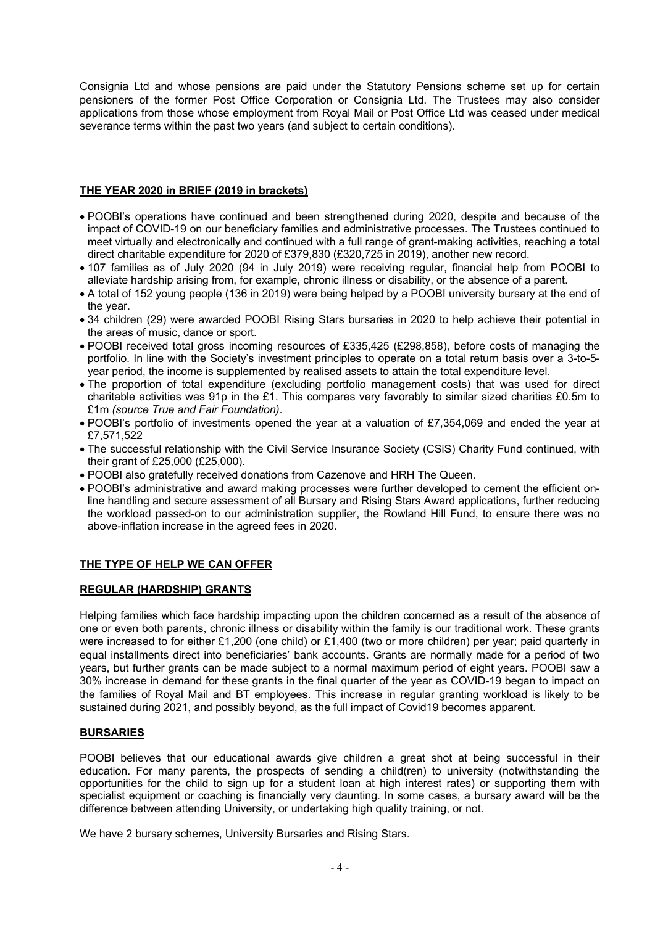Consignia Ltd and whose pensions are paid under the Statutory Pensions scheme set up for certain pensioners of the former Post Office Corporation or Consignia Ltd. The Trustees may also consider applications from those whose employment from Royal Mail or Post Office Ltd was ceased under medical severance terms within the past two years (and subject to certain conditions).

#### **THE YEAR 2020 in BRIEF (2019 in brackets)**

- POOBI's operations have continued and been strengthened during 2020, despite and because of the impact of COVID-19 on our beneficiary families and administrative processes. The Trustees continued to meet virtually and electronically and continued with a full range of grant-making activities, reaching a total direct charitable expenditure for 2020 of £379,830 (£320,725 in 2019), another new record.
- 107 families as of July 2020 (94 in July 2019) were receiving regular, financial help from POOBI to alleviate hardship arising from, for example, chronic illness or disability, or the absence of a parent.
- A total of 152 young people (136 in 2019) were being helped by a POOBI university bursary at the end of the year.
- 34 children (29) were awarded POOBI Rising Stars bursaries in 2020 to help achieve their potential in the areas of music, dance or sport.
- POOBI received total gross incoming resources of £335,425 (£298,858), before costs of managing the portfolio. In line with the Society's investment principles to operate on a total return basis over a 3-to-5 year period, the income is supplemented by realised assets to attain the total expenditure level.
- The proportion of total expenditure (excluding portfolio management costs) that was used for direct charitable activities was 91p in the £1. This compares very favorably to similar sized charities £0.5m to £1m *(source True and Fair Foundation)*.
- POOBI's portfolio of investments opened the year at a valuation of £7,354,069 and ended the year at £7,571,522
- The successful relationship with the Civil Service Insurance Society (CSiS) Charity Fund continued, with their grant of £25,000 (£25,000).
- POOBI also gratefully received donations from Cazenove and HRH The Queen.
- POOBI's administrative and award making processes were further developed to cement the efficient online handling and secure assessment of all Bursary and Rising Stars Award applications, further reducing the workload passed-on to our administration supplier, the Rowland Hill Fund, to ensure there was no above-inflation increase in the agreed fees in 2020.

# **THE TYPE OF HELP WE CAN OFFER**

#### **REGULAR (HARDSHIP) GRANTS**

Helping families which face hardship impacting upon the children concerned as a result of the absence of one or even both parents, chronic illness or disability within the family is our traditional work. These grants were increased to for either £1,200 (one child) or £1,400 (two or more children) per year; paid quarterly in equal installments direct into beneficiaries' bank accounts. Grants are normally made for a period of two years, but further grants can be made subject to a normal maximum period of eight years. POOBI saw a 30% increase in demand for these grants in the final quarter of the year as COVID-19 began to impact on the families of Royal Mail and BT employees. This increase in regular granting workload is likely to be sustained during 2021, and possibly beyond, as the full impact of Covid19 becomes apparent.

#### **BURSARIES**

POOBI believes that our educational awards give children a great shot at being successful in their education. For many parents, the prospects of sending a child(ren) to university (notwithstanding the opportunities for the child to sign up for a student loan at high interest rates) or supporting them with specialist equipment or coaching is financially very daunting. In some cases, a bursary award will be the difference between attending University, or undertaking high quality training, or not.

We have 2 bursary schemes, University Bursaries and Rising Stars.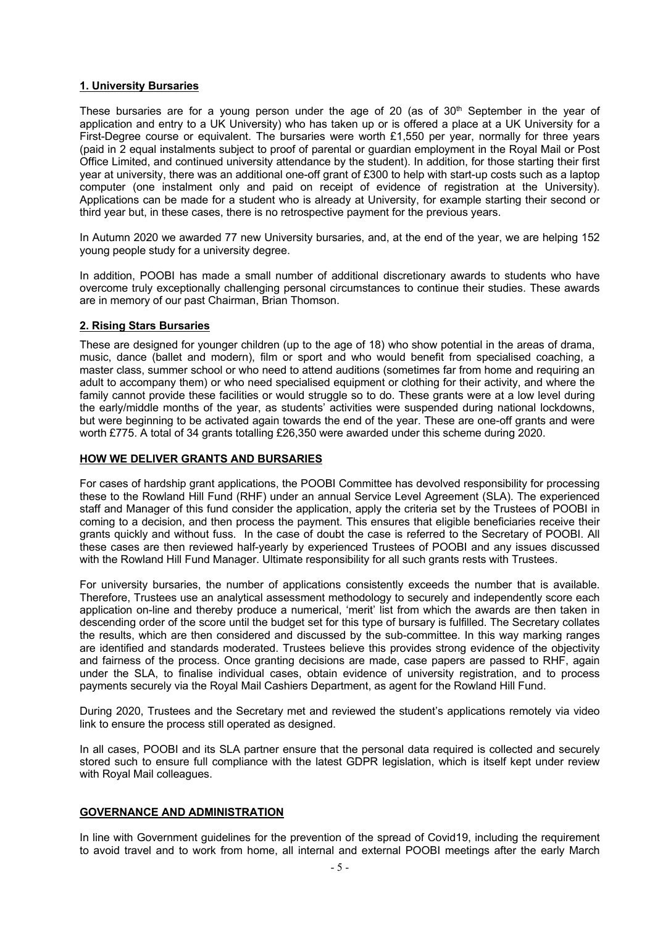#### **1. University Bursaries**

These bursaries are for a young person under the age of 20 (as of  $30<sup>th</sup>$  September in the year of application and entry to a UK University) who has taken up or is offered a place at a UK University for a First-Degree course or equivalent. The bursaries were worth £1,550 per year, normally for three years (paid in 2 equal instalments subject to proof of parental or guardian employment in the Royal Mail or Post Office Limited, and continued university attendance by the student). In addition, for those starting their first year at university, there was an additional one-off grant of £300 to help with start-up costs such as a laptop computer (one instalment only and paid on receipt of evidence of registration at the University). Applications can be made for a student who is already at University, for example starting their second or third year but, in these cases, there is no retrospective payment for the previous years.

In Autumn 2020 we awarded 77 new University bursaries, and, at the end of the year, we are helping 152 young people study for a university degree.

In addition, POOBI has made a small number of additional discretionary awards to students who have overcome truly exceptionally challenging personal circumstances to continue their studies. These awards are in memory of our past Chairman, Brian Thomson.

#### **2. Rising Stars Bursaries**

These are designed for younger children (up to the age of 18) who show potential in the areas of drama, music, dance (ballet and modern), film or sport and who would benefit from specialised coaching, a master class, summer school or who need to attend auditions (sometimes far from home and requiring an adult to accompany them) or who need specialised equipment or clothing for their activity, and where the family cannot provide these facilities or would struggle so to do. These grants were at a low level during the early/middle months of the year, as students' activities were suspended during national lockdowns, but were beginning to be activated again towards the end of the year. These are one-off grants and were worth £775. A total of 34 grants totalling £26,350 were awarded under this scheme during 2020.

#### **HOW WE DELIVER GRANTS AND BURSARIES**

For cases of hardship grant applications, the POOBI Committee has devolved responsibility for processing these to the Rowland Hill Fund (RHF) under an annual Service Level Agreement (SLA). The experienced staff and Manager of this fund consider the application, apply the criteria set by the Trustees of POOBI in coming to a decision, and then process the payment. This ensures that eligible beneficiaries receive their grants quickly and without fuss. In the case of doubt the case is referred to the Secretary of POOBI. All these cases are then reviewed half-yearly by experienced Trustees of POOBI and any issues discussed with the Rowland Hill Fund Manager. Ultimate responsibility for all such grants rests with Trustees.

For university bursaries, the number of applications consistently exceeds the number that is available. Therefore, Trustees use an analytical assessment methodology to securely and independently score each application on-line and thereby produce a numerical, 'merit' list from which the awards are then taken in descending order of the score until the budget set for this type of bursary is fulfilled. The Secretary collates the results, which are then considered and discussed by the sub-committee. In this way marking ranges are identified and standards moderated. Trustees believe this provides strong evidence of the objectivity and fairness of the process. Once granting decisions are made, case papers are passed to RHF, again under the SLA, to finalise individual cases, obtain evidence of university registration, and to process payments securely via the Royal Mail Cashiers Department, as agent for the Rowland Hill Fund.

During 2020, Trustees and the Secretary met and reviewed the student's applications remotely via video link to ensure the process still operated as designed.

In all cases, POOBI and its SLA partner ensure that the personal data required is collected and securely stored such to ensure full compliance with the latest GDPR legislation, which is itself kept under review with Royal Mail colleagues.

#### **GOVERNANCE AND ADMINISTRATION**

In line with Government guidelines for the prevention of the spread of Covid19, including the requirement to avoid travel and to work from home, all internal and external POOBI meetings after the early March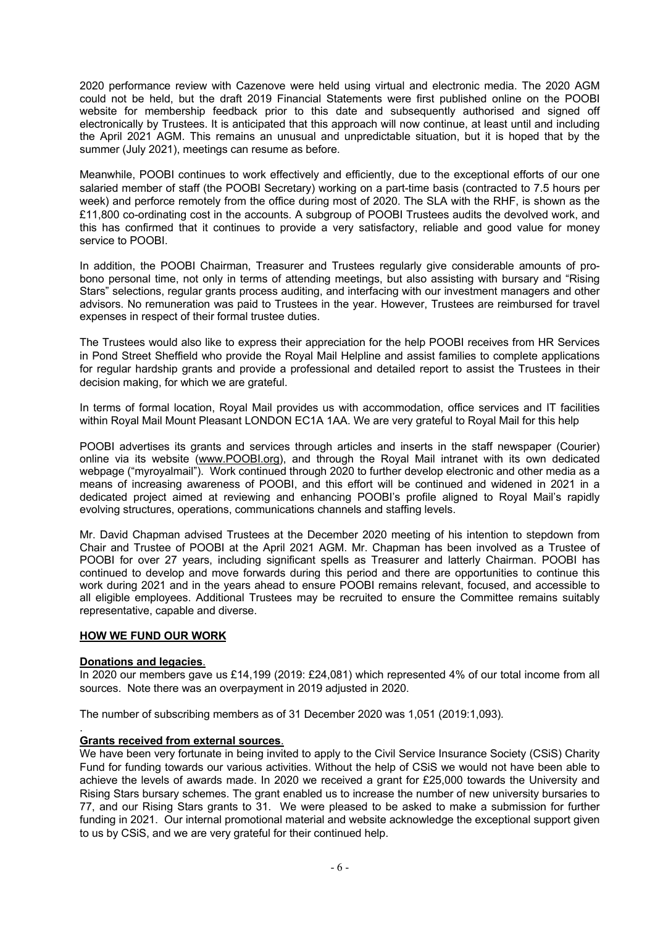2020 performance review with Cazenove were held using virtual and electronic media. The 2020 AGM could not be held, but the draft 2019 Financial Statements were first published online on the POOBI website for membership feedback prior to this date and subsequently authorised and signed off electronically by Trustees. It is anticipated that this approach will now continue, at least until and including the April 2021 AGM. This remains an unusual and unpredictable situation, but it is hoped that by the summer (July 2021), meetings can resume as before.

Meanwhile, POOBI continues to work effectively and efficiently, due to the exceptional efforts of our one salaried member of staff (the POOBI Secretary) working on a part-time basis (contracted to 7.5 hours per week) and perforce remotely from the office during most of 2020. The SLA with the RHF, is shown as the £11,800 co-ordinating cost in the accounts. A subgroup of POOBI Trustees audits the devolved work, and this has confirmed that it continues to provide a very satisfactory, reliable and good value for money service to POOBI.

In addition, the POOBI Chairman, Treasurer and Trustees regularly give considerable amounts of probono personal time, not only in terms of attending meetings, but also assisting with bursary and "Rising Stars" selections, regular grants process auditing, and interfacing with our investment managers and other advisors. No remuneration was paid to Trustees in the year. However, Trustees are reimbursed for travel expenses in respect of their formal trustee duties.

The Trustees would also like to express their appreciation for the help POOBI receives from HR Services in Pond Street Sheffield who provide the Royal Mail Helpline and assist families to complete applications for regular hardship grants and provide a professional and detailed report to assist the Trustees in their decision making, for which we are grateful.

In terms of formal location, Royal Mail provides us with accommodation, office services and IT facilities within Royal Mail Mount Pleasant LONDON EC1A 1AA. We are very grateful to Royal Mail for this help

POOBI advertises its grants and services through articles and inserts in the staff newspaper (Courier) online via its website (www.POOBI.org), and through the Royal Mail intranet with its own dedicated webpage ("myroyalmail"). Work continued through 2020 to further develop electronic and other media as a means of increasing awareness of POOBI, and this effort will be continued and widened in 2021 in a dedicated project aimed at reviewing and enhancing POOBI's profile aligned to Royal Mail's rapidly evolving structures, operations, communications channels and staffing levels.

Mr. David Chapman advised Trustees at the December 2020 meeting of his intention to stepdown from Chair and Trustee of POOBI at the April 2021 AGM. Mr. Chapman has been involved as a Trustee of POOBI for over 27 years, including significant spells as Treasurer and latterly Chairman. POOBI has continued to develop and move forwards during this period and there are opportunities to continue this work during 2021 and in the years ahead to ensure POOBI remains relevant, focused, and accessible to all eligible employees. Additional Trustees may be recruited to ensure the Committee remains suitably representative, capable and diverse.

#### **HOW WE FUND OUR WORK**

#### **Donations and legacies**.

.

In 2020 our members gave us £14,199 (2019: £24,081) which represented 4% of our total income from all sources. Note there was an overpayment in 2019 adjusted in 2020.

The number of subscribing members as of 31 December 2020 was 1,051 (2019:1,093)*.*

#### **Grants received from external sources**.

We have been very fortunate in being invited to apply to the Civil Service Insurance Society (CSiS) Charity Fund for funding towards our various activities. Without the help of CSiS we would not have been able to achieve the levels of awards made. In 2020 we received a grant for £25,000 towards the University and Rising Stars bursary schemes. The grant enabled us to increase the number of new university bursaries to 77, and our Rising Stars grants to 31. We were pleased to be asked to make a submission for further funding in 2021. Our internal promotional material and website acknowledge the exceptional support given to us by CSiS, and we are very grateful for their continued help.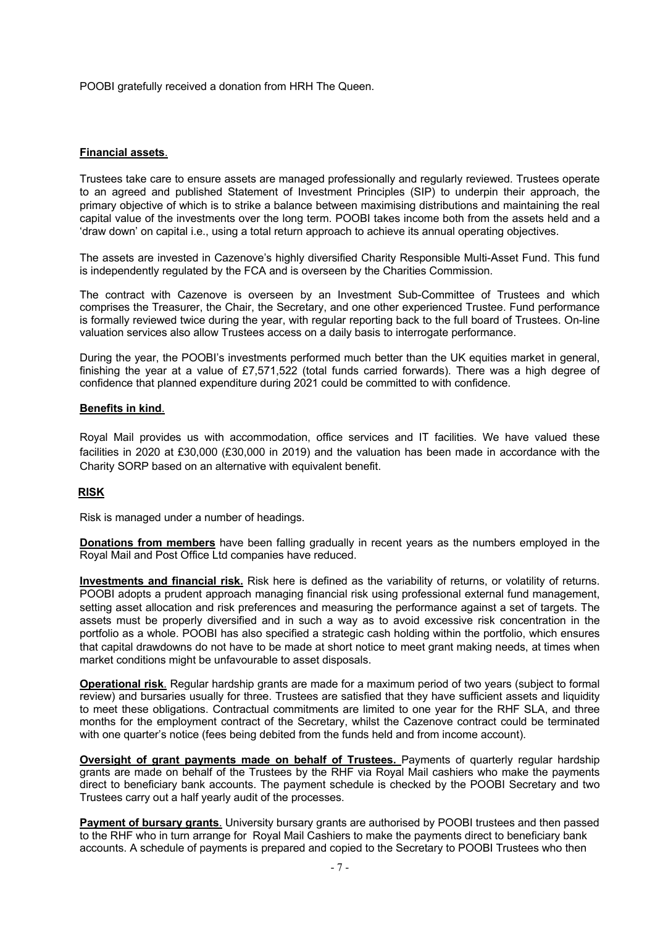POOBI gratefully received a donation from HRH The Queen.

#### **Financial assets**.

Trustees take care to ensure assets are managed professionally and regularly reviewed. Trustees operate to an agreed and published Statement of Investment Principles (SIP) to underpin their approach, the primary objective of which is to strike a balance between maximising distributions and maintaining the real capital value of the investments over the long term. POOBI takes income both from the assets held and a 'draw down' on capital i.e., using a total return approach to achieve its annual operating objectives.

The assets are invested in Cazenove's highly diversified Charity Responsible Multi-Asset Fund. This fund is independently regulated by the FCA and is overseen by the Charities Commission.

The contract with Cazenove is overseen by an Investment Sub-Committee of Trustees and which comprises the Treasurer, the Chair, the Secretary, and one other experienced Trustee. Fund performance is formally reviewed twice during the year, with regular reporting back to the full board of Trustees. On-line valuation services also allow Trustees access on a daily basis to interrogate performance.

During the year, the POOBI's investments performed much better than the UK equities market in general, finishing the year at a value of £7,571,522 (total funds carried forwards). There was a high degree of confidence that planned expenditure during 2021 could be committed to with confidence.

#### **Benefits in kind**.

Royal Mail provides us with accommodation, office services and IT facilities. We have valued these facilities in 2020 at £30,000 (£30,000 in 2019) and the valuation has been made in accordance with the Charity SORP based on an alternative with equivalent benefit.

#### **RISK**

Risk is managed under a number of headings.

**Donations from members** have been falling gradually in recent years as the numbers employed in the Royal Mail and Post Office Ltd companies have reduced.

**Investments and financial risk.** Risk here is defined as the variability of returns, or volatility of returns. POOBI adopts a prudent approach managing financial risk using professional external fund management, setting asset allocation and risk preferences and measuring the performance against a set of targets. The assets must be properly diversified and in such a way as to avoid excessive risk concentration in the portfolio as a whole. POOBI has also specified a strategic cash holding within the portfolio, which ensures that capital drawdowns do not have to be made at short notice to meet grant making needs, at times when market conditions might be unfavourable to asset disposals.

**Operational risk**. Regular hardship grants are made for a maximum period of two years (subject to formal review) and bursaries usually for three. Trustees are satisfied that they have sufficient assets and liquidity to meet these obligations. Contractual commitments are limited to one year for the RHF SLA, and three months for the employment contract of the Secretary, whilst the Cazenove contract could be terminated with one quarter's notice (fees being debited from the funds held and from income account).

**Oversight of grant payments made on behalf of Trustees.** Payments of quarterly regular hardship grants are made on behalf of the Trustees by the RHF via Royal Mail cashiers who make the payments direct to beneficiary bank accounts. The payment schedule is checked by the POOBI Secretary and two Trustees carry out a half yearly audit of the processes.

**Payment of bursary grants**. University bursary grants are authorised by POOBI trustees and then passed to the RHF who in turn arrange for Royal Mail Cashiers to make the payments direct to beneficiary bank accounts. A schedule of payments is prepared and copied to the Secretary to POOBI Trustees who then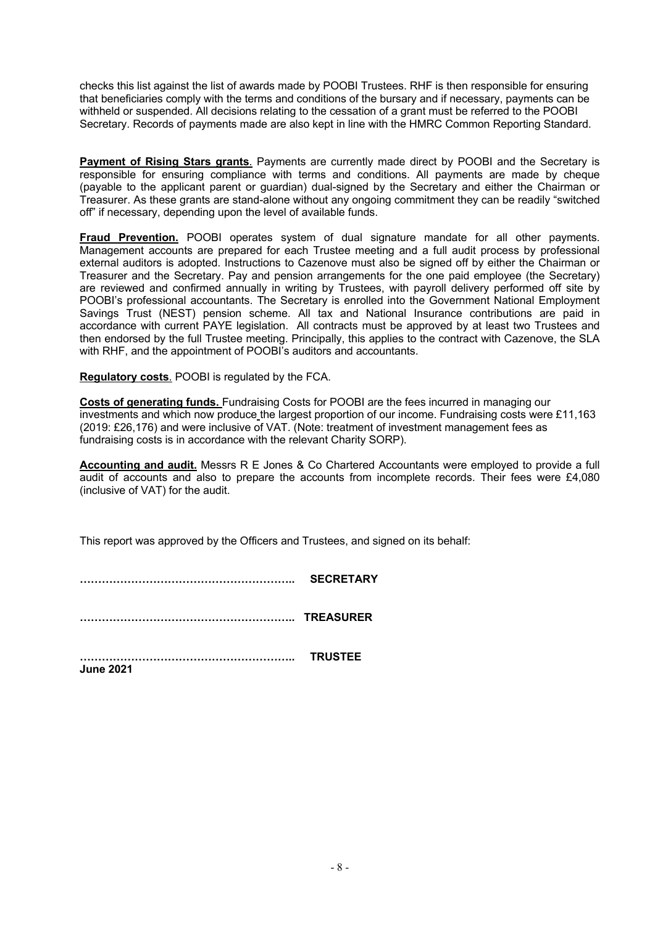checks this list against the list of awards made by POOBI Trustees. RHF is then responsible for ensuring that beneficiaries comply with the terms and conditions of the bursary and if necessary, payments can be withheld or suspended. All decisions relating to the cessation of a grant must be referred to the POOBI Secretary. Records of payments made are also kept in line with the HMRC Common Reporting Standard.

**Payment of Rising Stars grants**. Payments are currently made direct by POOBI and the Secretary is responsible for ensuring compliance with terms and conditions. All payments are made by cheque (payable to the applicant parent or guardian) dual-signed by the Secretary and either the Chairman or Treasurer. As these grants are stand-alone without any ongoing commitment they can be readily "switched off" if necessary, depending upon the level of available funds.

**Fraud Prevention.** POOBI operates system of dual signature mandate for all other payments. Management accounts are prepared for each Trustee meeting and a full audit process by professional external auditors is adopted. Instructions to Cazenove must also be signed off by either the Chairman or Treasurer and the Secretary. Pay and pension arrangements for the one paid employee (the Secretary) are reviewed and confirmed annually in writing by Trustees, with payroll delivery performed off site by POOBI's professional accountants. The Secretary is enrolled into the Government National Employment Savings Trust (NEST) pension scheme. All tax and National Insurance contributions are paid in accordance with current PAYE legislation. All contracts must be approved by at least two Trustees and then endorsed by the full Trustee meeting. Principally, this applies to the contract with Cazenove, the SLA with RHF, and the appointment of POOBI's auditors and accountants.

**Regulatory costs**. POOBI is regulated by the FCA.

**Costs of generating funds.** Fundraising Costs for POOBI are the fees incurred in managing our investments and which now produce the largest proportion of our income. Fundraising costs were £11,163 (2019: £26,176) and were inclusive of VAT. (Note: treatment of investment management fees as fundraising costs is in accordance with the relevant Charity SORP).

**Accounting and audit.** Messrs R E Jones & Co Chartered Accountants were employed to provide a full audit of accounts and also to prepare the accounts from incomplete records. Their fees were £4,080 (inclusive of VAT) for the audit.

This report was approved by the Officers and Trustees, and signed on its behalf:

**………………………………………………….. SECRETARY**

**………………………………………………….. TREASURER**

**………………………………………………….. TRUSTEE June 2021**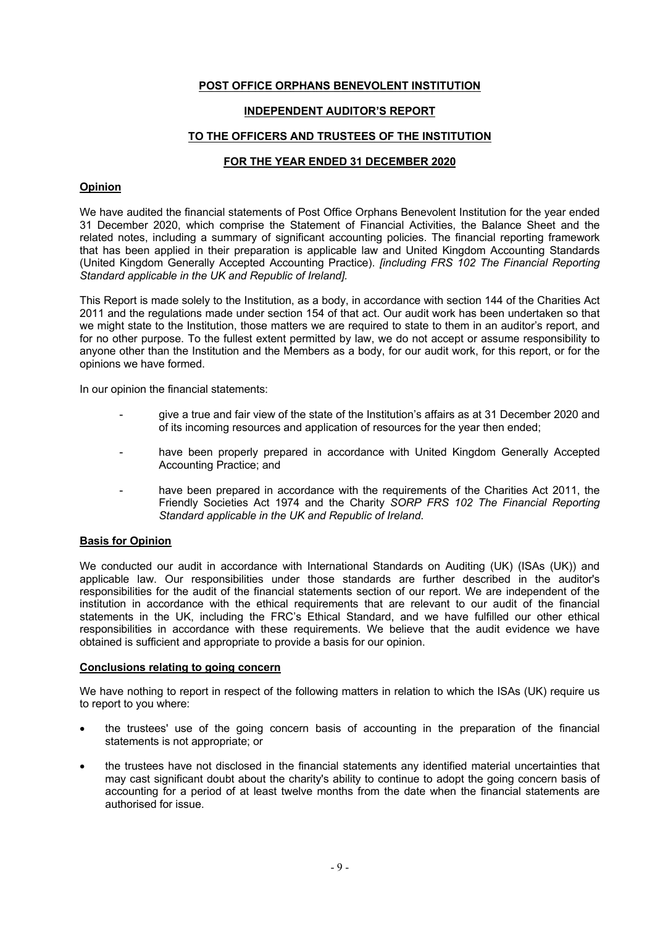#### **INDEPENDENT AUDITOR'S REPORT**

#### **TO THE OFFICERS AND TRUSTEES OF THE INSTITUTION**

#### **FOR THE YEAR ENDED 31 DECEMBER 2020**

#### **Opinion**

We have audited the financial statements of Post Office Orphans Benevolent Institution for the year ended 31 December 2020, which comprise the Statement of Financial Activities, the Balance Sheet and the related notes, including a summary of significant accounting policies. The financial reporting framework that has been applied in their preparation is applicable law and United Kingdom Accounting Standards (United Kingdom Generally Accepted Accounting Practice). *[including FRS 102 The Financial Reporting Standard applicable in the UK and Republic of Ireland].*

This Report is made solely to the Institution, as a body, in accordance with section 144 of the Charities Act 2011 and the regulations made under section 154 of that act. Our audit work has been undertaken so that we might state to the Institution, those matters we are required to state to them in an auditor's report, and for no other purpose. To the fullest extent permitted by law, we do not accept or assume responsibility to anyone other than the Institution and the Members as a body, for our audit work, for this report, or for the opinions we have formed.

In our opinion the financial statements:

- give a true and fair view of the state of the Institution's affairs as at 31 December 2020 and of its incoming resources and application of resources for the year then ended;
- have been properly prepared in accordance with United Kingdom Generally Accepted Accounting Practice; and
- have been prepared in accordance with the requirements of the Charities Act 2011, the Friendly Societies Act 1974 and the Charity *SORP FRS 102 The Financial Reporting Standard applicable in the UK and Republic of Ireland*.

#### **Basis for Opinion**

We conducted our audit in accordance with International Standards on Auditing (UK) (ISAs (UK)) and applicable law. Our responsibilities under those standards are further described in the auditor's responsibilities for the audit of the financial statements section of our report. We are independent of the institution in accordance with the ethical requirements that are relevant to our audit of the financial statements in the UK, including the FRC's Ethical Standard, and we have fulfilled our other ethical responsibilities in accordance with these requirements. We believe that the audit evidence we have obtained is sufficient and appropriate to provide a basis for our opinion.

#### **Conclusions relating to going concern**

We have nothing to report in respect of the following matters in relation to which the ISAs (UK) require us to report to you where:

- the trustees' use of the going concern basis of accounting in the preparation of the financial statements is not appropriate; or
- the trustees have not disclosed in the financial statements any identified material uncertainties that may cast significant doubt about the charity's ability to continue to adopt the going concern basis of accounting for a period of at least twelve months from the date when the financial statements are authorised for issue.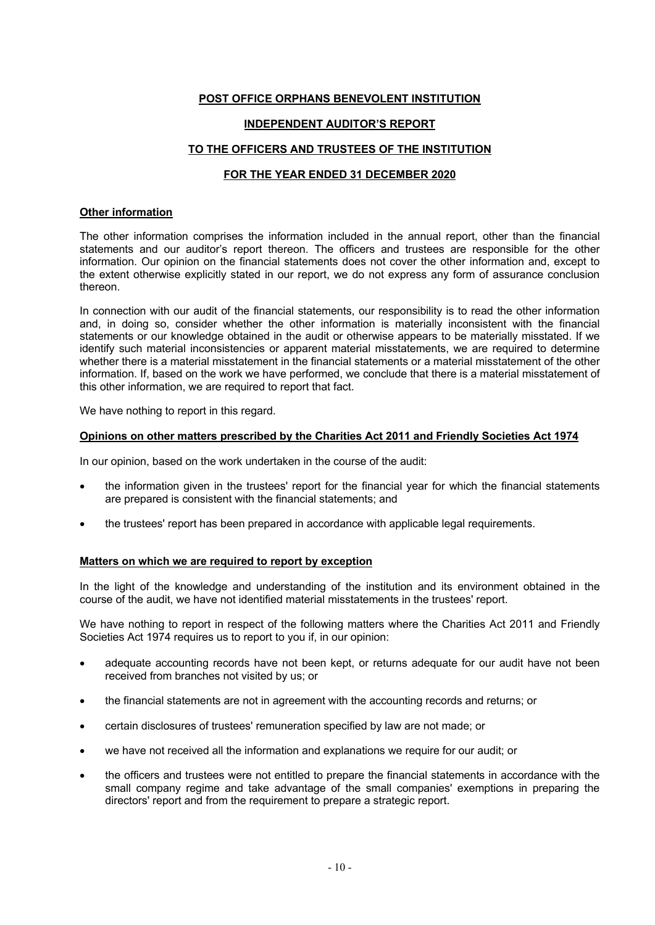## **INDEPENDENT AUDITOR'S REPORT**

#### **TO THE OFFICERS AND TRUSTEES OF THE INSTITUTION**

# **FOR THE YEAR ENDED 31 DECEMBER 2020**

#### **Other information**

The other information comprises the information included in the annual report, other than the financial statements and our auditor's report thereon. The officers and trustees are responsible for the other information. Our opinion on the financial statements does not cover the other information and, except to the extent otherwise explicitly stated in our report, we do not express any form of assurance conclusion thereon.

In connection with our audit of the financial statements, our responsibility is to read the other information and, in doing so, consider whether the other information is materially inconsistent with the financial statements or our knowledge obtained in the audit or otherwise appears to be materially misstated. If we identify such material inconsistencies or apparent material misstatements, we are required to determine whether there is a material misstatement in the financial statements or a material misstatement of the other information. If, based on the work we have performed, we conclude that there is a material misstatement of this other information, we are required to report that fact.

We have nothing to report in this regard.

#### **Opinions on other matters prescribed by the Charities Act 2011 and Friendly Societies Act 1974**

In our opinion, based on the work undertaken in the course of the audit:

- the information given in the trustees' report for the financial year for which the financial statements are prepared is consistent with the financial statements; and
- the trustees' report has been prepared in accordance with applicable legal requirements.

#### **Matters on which we are required to report by exception**

In the light of the knowledge and understanding of the institution and its environment obtained in the course of the audit, we have not identified material misstatements in the trustees' report.

We have nothing to report in respect of the following matters where the Charities Act 2011 and Friendly Societies Act 1974 requires us to report to you if, in our opinion:

- adequate accounting records have not been kept, or returns adequate for our audit have not been received from branches not visited by us; or
- the financial statements are not in agreement with the accounting records and returns; or
- certain disclosures of trustees' remuneration specified by law are not made; or
- we have not received all the information and explanations we require for our audit; or
- the officers and trustees were not entitled to prepare the financial statements in accordance with the small company regime and take advantage of the small companies' exemptions in preparing the directors' report and from the requirement to prepare a strategic report.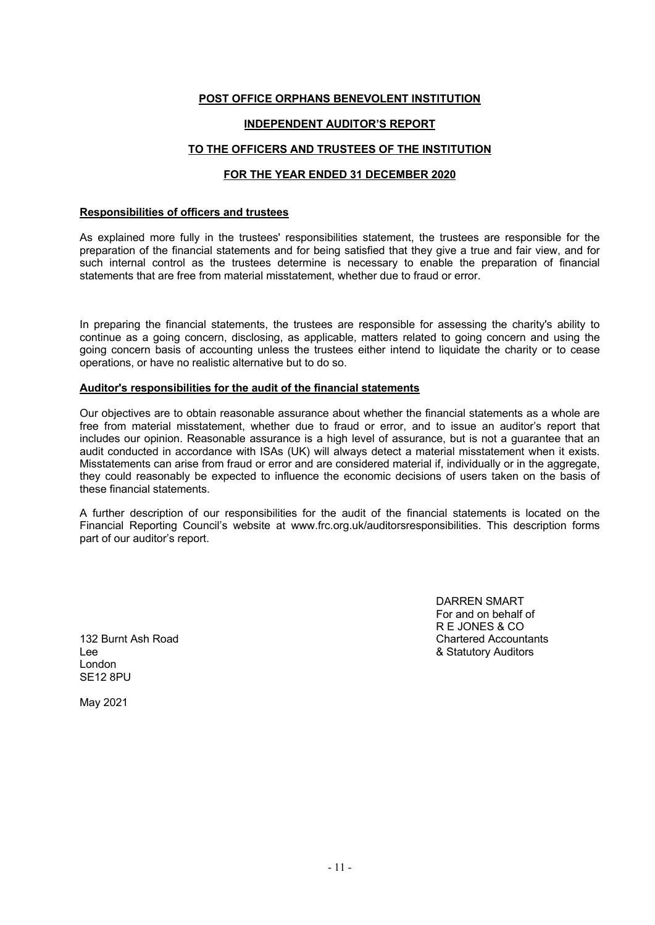## **INDEPENDENT AUDITOR'S REPORT**

## **TO THE OFFICERS AND TRUSTEES OF THE INSTITUTION**

# **FOR THE YEAR ENDED 31 DECEMBER 2020**

#### **Responsibilities of officers and trustees**

As explained more fully in the trustees' responsibilities statement, the trustees are responsible for the preparation of the financial statements and for being satisfied that they give a true and fair view, and for such internal control as the trustees determine is necessary to enable the preparation of financial statements that are free from material misstatement, whether due to fraud or error.

In preparing the financial statements, the trustees are responsible for assessing the charity's ability to continue as a going concern, disclosing, as applicable, matters related to going concern and using the going concern basis of accounting unless the trustees either intend to liquidate the charity or to cease operations, or have no realistic alternative but to do so.

#### **Auditor's responsibilities for the audit of the financial statements**

Our objectives are to obtain reasonable assurance about whether the financial statements as a whole are free from material misstatement, whether due to fraud or error, and to issue an auditor's report that includes our opinion. Reasonable assurance is a high level of assurance, but is not a guarantee that an audit conducted in accordance with ISAs (UK) will always detect a material misstatement when it exists. Misstatements can arise from fraud or error and are considered material if, individually or in the aggregate, they could reasonably be expected to influence the economic decisions of users taken on the basis of these financial statements.

A further description of our responsibilities for the audit of the financial statements is located on the Financial Reporting Council's website at www.frc.org.uk/auditorsresponsibilities. This description forms part of our auditor's report.

DARREN SMART For and on behalf of R E JONES & CO 132 Burnt Ash Road Chartered Accountants

Lee **8. Statutory Auditors 8. Statutory Auditors** London SE12 8PU

May 2021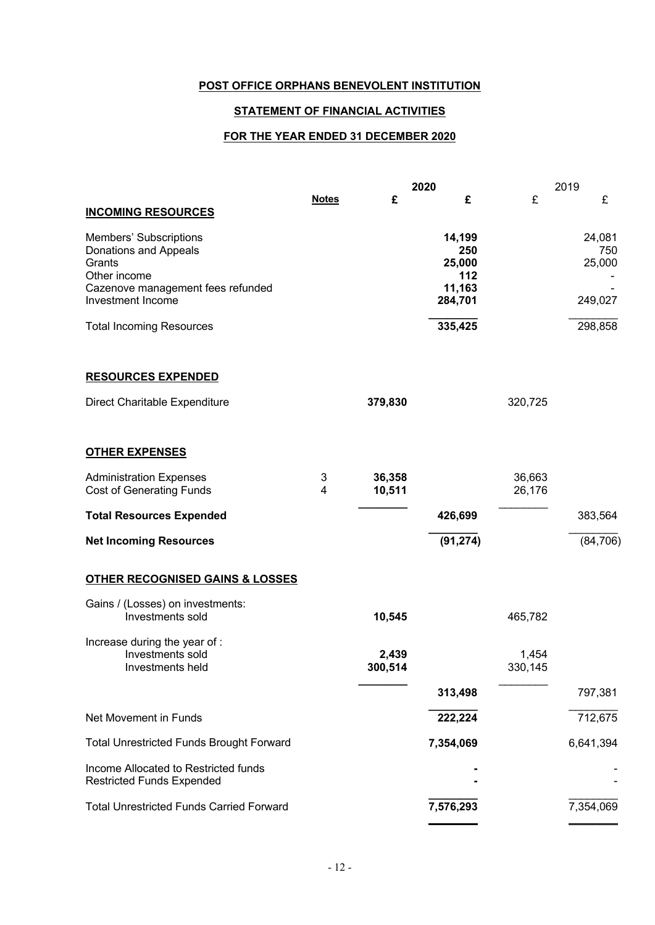# **STATEMENT OF FINANCIAL ACTIVITIES**

# **FOR THE YEAR ENDED 31 DECEMBER 2020**

|                                                                                                                |                              | 2020             |                                          | 2019             |                         |
|----------------------------------------------------------------------------------------------------------------|------------------------------|------------------|------------------------------------------|------------------|-------------------------|
| <b>INCOMING RESOURCES</b>                                                                                      | <b>Notes</b>                 | £                | £                                        | £                | £                       |
| Members' Subscriptions<br>Donations and Appeals<br>Grants<br>Other income<br>Cazenove management fees refunded |                              |                  | 14,199<br>250<br>25,000<br>112<br>11,163 |                  | 24,081<br>750<br>25,000 |
| Investment Income                                                                                              |                              |                  | 284,701                                  |                  | 249,027                 |
| <b>Total Incoming Resources</b>                                                                                |                              |                  | 335,425                                  |                  | 298,858                 |
| <b>RESOURCES EXPENDED</b>                                                                                      |                              |                  |                                          |                  |                         |
| Direct Charitable Expenditure                                                                                  |                              | 379,830          |                                          | 320,725          |                         |
| <b>OTHER EXPENSES</b>                                                                                          |                              |                  |                                          |                  |                         |
| <b>Administration Expenses</b><br><b>Cost of Generating Funds</b>                                              | 3<br>$\overline{\mathbf{4}}$ | 36,358<br>10,511 |                                          | 36,663<br>26,176 |                         |
| <b>Total Resources Expended</b>                                                                                |                              |                  | 426,699                                  |                  | 383,564                 |
| <b>Net Incoming Resources</b>                                                                                  |                              |                  | (91, 274)                                |                  | (84, 706)               |
| <b>OTHER RECOGNISED GAINS &amp; LOSSES</b>                                                                     |                              |                  |                                          |                  |                         |
| Gains / (Losses) on investments:<br>Investments sold                                                           |                              | 10,545           |                                          | 465,782          |                         |
| Increase during the year of :<br>Investments sold<br>Investments held                                          |                              | 2,439<br>300,514 |                                          | 1,454<br>330,145 |                         |
|                                                                                                                |                              |                  | 313,498                                  |                  | 797,381                 |
| Net Movement in Funds                                                                                          |                              |                  | 222,224                                  |                  | 712,675                 |
| <b>Total Unrestricted Funds Brought Forward</b>                                                                |                              |                  | 7,354,069                                |                  | 6,641,394               |
| Income Allocated to Restricted funds<br><b>Restricted Funds Expended</b>                                       |                              |                  |                                          |                  |                         |
| <b>Total Unrestricted Funds Carried Forward</b>                                                                |                              |                  | 7,576,293                                |                  | 7,354,069               |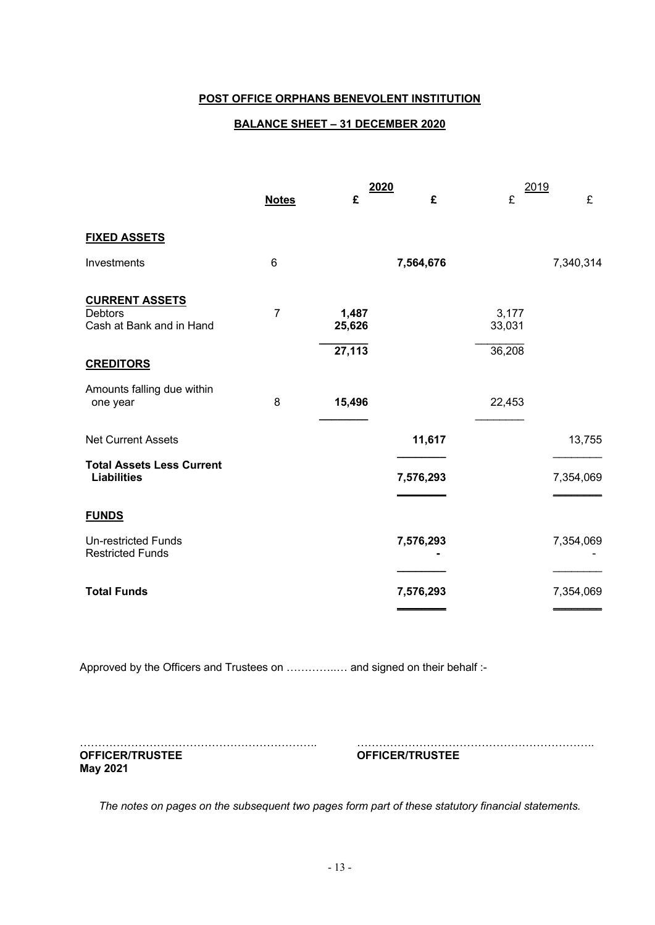# **BALANCE SHEET – 31 DECEMBER 2020**

|                                                                     |                | 2020            |           | 2019            |           |
|---------------------------------------------------------------------|----------------|-----------------|-----------|-----------------|-----------|
|                                                                     | <b>Notes</b>   | £               | £         | £               | £         |
| <b>FIXED ASSETS</b>                                                 |                |                 |           |                 |           |
| Investments                                                         | 6              |                 | 7,564,676 |                 | 7,340,314 |
| <b>CURRENT ASSETS</b><br><b>Debtors</b><br>Cash at Bank and in Hand | $\overline{7}$ | 1,487<br>25,626 |           | 3,177<br>33,031 |           |
| <b>CREDITORS</b>                                                    |                | 27,113          |           | 36,208          |           |
| Amounts falling due within<br>one year                              | 8              | 15,496          |           | 22,453          |           |
| <b>Net Current Assets</b>                                           |                |                 | 11,617    |                 | 13,755    |
| <b>Total Assets Less Current</b><br><b>Liabilities</b>              |                |                 | 7,576,293 |                 | 7,354,069 |
| <b>FUNDS</b>                                                        |                |                 |           |                 |           |
| <b>Un-restricted Funds</b><br><b>Restricted Funds</b>               |                |                 | 7,576,293 |                 | 7,354,069 |
| <b>Total Funds</b>                                                  |                |                 | 7,576,293 |                 | 7,354,069 |

Approved by the Officers and Trustees on ................. and signed on their behalf :-

……………………………………………………….. ……………………………………………………….. **OFFICER/TRUSTEE OFFICER/TRUSTEE May 2021**

*The notes on pages on the subsequent two pages form part of these statutory financial statements.*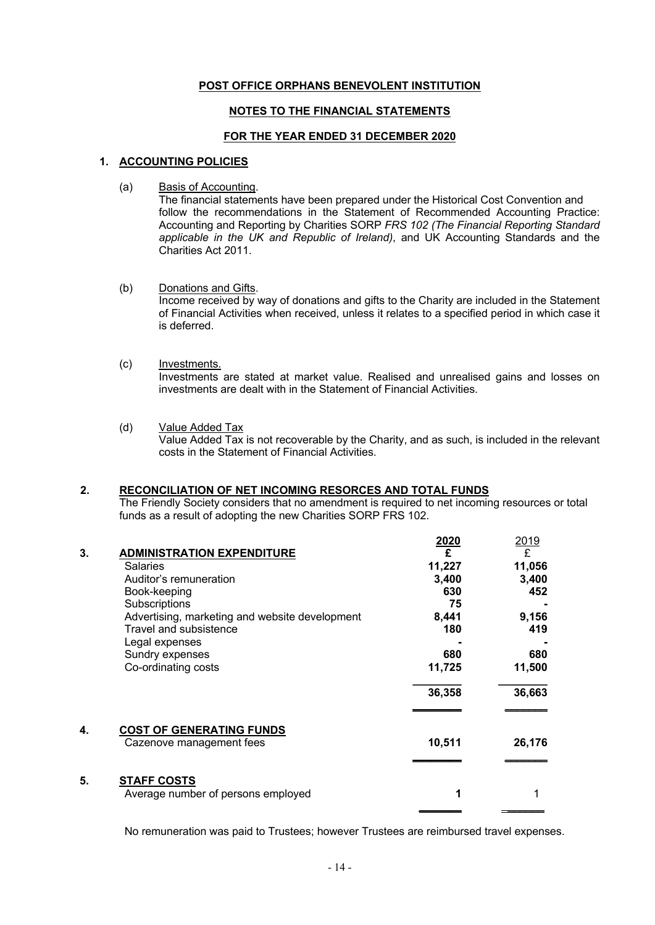# **NOTES TO THE FINANCIAL STATEMENTS**

# **FOR THE YEAR ENDED 31 DECEMBER 2020**

#### **1. ACCOUNTING POLICIES**

(a) Basis of Accounting.

The financial statements have been prepared under the Historical Cost Convention and follow the recommendations in the Statement of Recommended Accounting Practice: Accounting and Reporting by Charities SORP *FRS 102 (The Financial Reporting Standard applicable in the UK and Republic of Ireland)*, and UK Accounting Standards and the Charities Act 2011.

#### (b) Donations and Gifts. Income received by way of donations and gifts to the Charity are included in the Statement of Financial Activities when received, unless it relates to a specified period in which case it is deferred.

- (c) Investments. Investments are stated at market value. Realised and unrealised gains and losses on investments are dealt with in the Statement of Financial Activities.
- (d) Value Added Tax

Value Added Tax is not recoverable by the Charity, and as such, is included in the relevant costs in the Statement of Financial Activities.

#### **2. RECONCILIATION OF NET INCOMING RESORCES AND TOTAL FUNDS**

The Friendly Society considers that no amendment is required to net incoming resources or total funds as a result of adopting the new Charities SORP FRS 102.

|    |                                                | 2020   | 2019   |
|----|------------------------------------------------|--------|--------|
| 3. | <b>ADMINISTRATION EXPENDITURE</b>              | £      | £      |
|    | Salaries                                       | 11,227 | 11,056 |
|    | Auditor's remuneration                         | 3,400  | 3,400  |
|    | Book-keeping                                   | 630    | 452    |
|    | Subscriptions                                  | 75     |        |
|    | Advertising, marketing and website development | 8,441  | 9,156  |
|    | Travel and subsistence                         | 180    | 419    |
|    | Legal expenses                                 |        |        |
|    | Sundry expenses                                | 680    | 680    |
|    | Co-ordinating costs                            | 11,725 | 11,500 |
|    |                                                | 36,358 | 36,663 |
| 4. | <b>COST OF GENERATING FUNDS</b>                |        |        |
|    | Cazenove management fees                       | 10,511 | 26,176 |
|    |                                                |        |        |
| 5. | <b>STAFF COSTS</b>                             |        |        |
|    | Average number of persons employed             | 1      |        |
|    |                                                |        |        |

No remuneration was paid to Trustees; however Trustees are reimbursed travel expenses.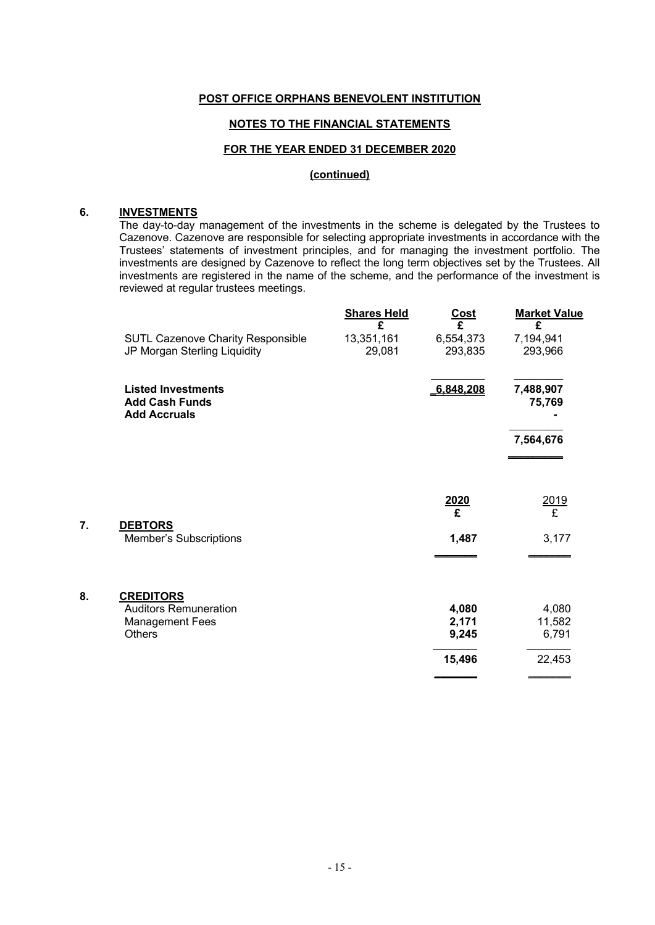#### **NOTES TO THE FINANCIAL STATEMENTS**

#### **FOR THE YEAR ENDED 31 DECEMBER 2020**

#### **(continued)**

## **6. INVESTMENTS**

**7. DEBTORS**

The day-to-day management of the investments in the scheme is delegated by the Trustees to Cazenove. Cazenove are responsible for selecting appropriate investments in accordance with the Trustees' statements of investment principles, and for managing the investment portfolio. The investments are designed by Cazenove to reflect the long term objectives set by the Trustees. All investments are registered in the name of the scheme, and the performance of the investment is reviewed at regular trustees meetings.

|    |                                                                           | <b>Shares Held</b><br>£ | <b>Cost</b><br>£     | <b>Market Value</b><br>£ |
|----|---------------------------------------------------------------------------|-------------------------|----------------------|--------------------------|
|    | <b>SUTL Cazenove Charity Responsible</b><br>JP Morgan Sterling Liquidity  | 13,351,161<br>29,081    | 6,554,373<br>293,835 | 7,194,941<br>293,966     |
|    | <b>Listed Investments</b><br><b>Add Cash Funds</b><br><b>Add Accruals</b> |                         | 6,848,208            | 7,488,907<br>75,769      |
|    |                                                                           |                         |                      | 7,564,676                |
|    |                                                                           |                         |                      |                          |
|    |                                                                           |                         | $\frac{2020}{£}$     | 2019<br>£                |
| 7. | <b>DEBTORS</b><br>Member's Subscriptions                                  |                         | 1,487                | 3,177                    |
| 8. | <b>CREDITORS</b>                                                          |                         |                      |                          |
|    | <b>Auditors Remuneration</b>                                              |                         | 4,080                | 4,080                    |
|    | <b>Management Fees</b>                                                    |                         | 2,171                | 11,582                   |
|    | <b>Others</b>                                                             |                         | 9,245                | 6,791                    |
|    |                                                                           |                         | 15,496               | 22,453                   |
|    |                                                                           |                         |                      |                          |